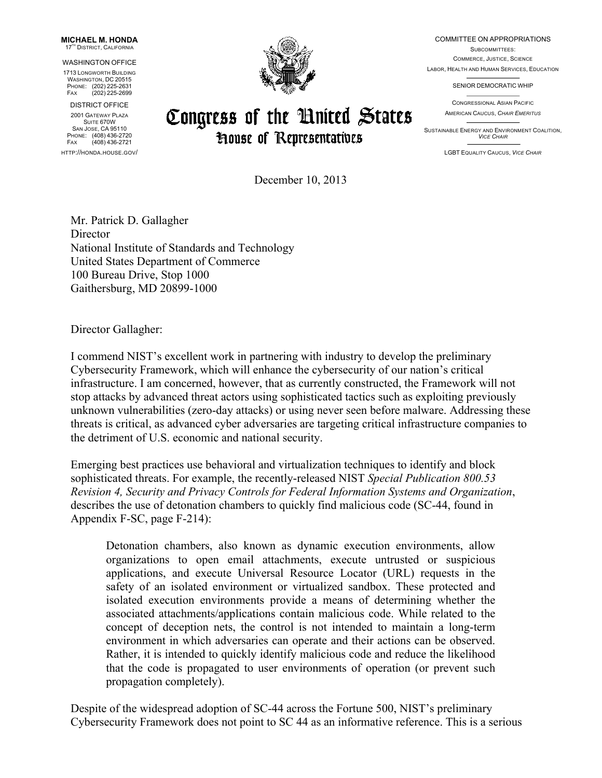**MICHAEL M. HONDA** 17<sup>TH</sup> DISTRICT, CALIFORNIA

WASHINGTON OFFICE

 WASHINGTON, DC 20515 1713 LONGWORTH BUILDING PHONE: (202) 225-2631 FAX (202) 225-2699

SUITE 670W<br>San Jose, CA 95110 DISTRICT OFFICE 2001 GATEWAY PLAZA SUITE 670W PHONE: (408) 436-2720 FAX (408) 436-2721



## Congress of the United States **House of Representatives**

COMMITTEE ON APPROPRIATIONS

 COMMERCE, JUSTICE, SCIENCE LABOR, HEALTH AND HUMAN SERVICES, EDUCATION SUBCOMMITTEES:

SENIOR DEMOCRATIC WHIP

CONGRESSIONAL ASIAN PACIFIC AMERICAN CAUCUS, *CHAIR EMERITUS*

 SUSTAINABLE ENERGY AND ENVIRONMENT COALITION, *VICE CHAIR* 

HTTP://HONDA.HOUSE.GOV/ LGBT EQUALITY CAUCUS, *VICE CHAIR* 

December 10, 2013

Mr. Patrick D. Gallagher **Director** National Institute of Standards and Technology United States Department of Commerce 100 Bureau Drive, Stop 1000 Gaithersburg, MD 20899-1000

Director Gallagher:

I commend NIST's excellent work in partnering with industry to develop the preliminary Cybersecurity Framework, which will enhance the cybersecurity of our nation's critical infrastructure. I am concerned, however, that as currently constructed, the Framework will not stop attacks by advanced threat actors using sophisticated tactics such as exploiting previously unknown vulnerabilities (zero-day attacks) or using never seen before malware. Addressing these threats is critical, as advanced cyber adversaries are targeting critical infrastructure companies to the detriment of U.S. economic and national security.

Emerging best practices use behavioral and virtualization techniques to identify and block sophisticated threats. For example, the recently-released NIST *Special Publication 800.53 Revision 4, Security and Privacy Controls for Federal Information Systems and Organization*, describes the use of detonation chambers to quickly find malicious code (SC-44, found in Appendix F-SC, page F-214):

 Detonation chambers, also known as dynamic execution environments, allow applications, and execute Universal Resource Locator (URL) requests in the isolated execution environments provide a means of determining whether the associated attachments/applications contain malicious code. While related to the concept of deception nets, the control is not intended to maintain a long-term environment in which adversaries can operate and their actions can be observed. Rather, it is intended to quickly identify malicious code and reduce the likelihood that the code is propagated to user environments of operation (or prevent such organizations to open email attachments, execute untrusted or suspicious safety of an isolated environment or virtualized sandbox. These protected and propagation completely).

Despite of the widespread adoption of SC-44 across the Fortune 500, NIST's preliminary Cybersecurity Framework does not point to SC 44 as an informative reference. This is a serious